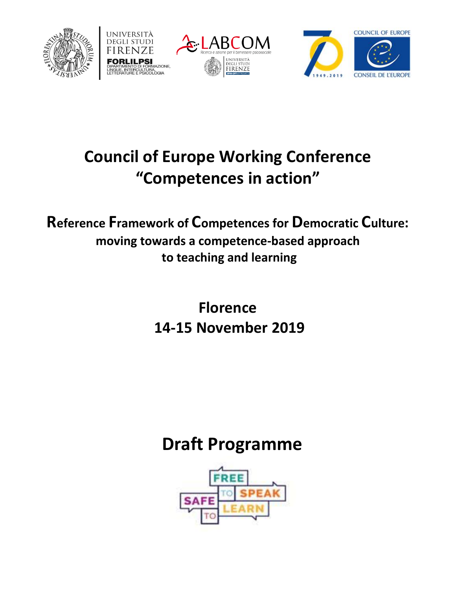







## **Council of Europe Working Conference "Competences in action"**

**Reference Framework of Competences for Democratic Culture: moving towards a competence-based approach to teaching and learning**

> **Florence 14-15 November 2019**

## **Draft Programme**

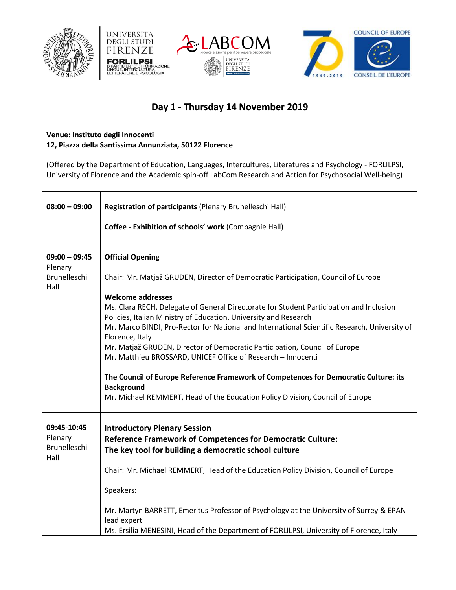







## **Day 1 - Thursday 14 November 2019**

## **Venue: Instituto degli Innocenti 12, Piazza della Santissima Annunziata, 50122 Florence**

(Offered by the Department of Education, Languages, Intercultures, Literatures and Psychology - FORLILPSI, University of Florence and the Academic spin-off LabCom Research and Action for Psychosocial Well-being)

| $08:00 - 09:00$                                    | Registration of participants (Plenary Brunelleschi Hall)<br>Coffee - Exhibition of schools' work (Compagnie Hall)                                                                                                                                                                                                                                                                                                                                                                                                                                                                                                                                                                                                                                                       |
|----------------------------------------------------|-------------------------------------------------------------------------------------------------------------------------------------------------------------------------------------------------------------------------------------------------------------------------------------------------------------------------------------------------------------------------------------------------------------------------------------------------------------------------------------------------------------------------------------------------------------------------------------------------------------------------------------------------------------------------------------------------------------------------------------------------------------------------|
| $09:00 - 09:45$<br>Plenary<br>Brunelleschi<br>Hall | <b>Official Opening</b><br>Chair: Mr. Matjaž GRUDEN, Director of Democratic Participation, Council of Europe<br><b>Welcome addresses</b><br>Ms. Clara RECH, Delegate of General Directorate for Student Participation and Inclusion<br>Policies, Italian Ministry of Education, University and Research<br>Mr. Marco BINDI, Pro-Rector for National and International Scientific Research, University of<br>Florence, Italy<br>Mr. Matjaž GRUDEN, Director of Democratic Participation, Council of Europe<br>Mr. Matthieu BROSSARD, UNICEF Office of Research - Innocenti<br>The Council of Europe Reference Framework of Competences for Democratic Culture: its<br><b>Background</b><br>Mr. Michael REMMERT, Head of the Education Policy Division, Council of Europe |
| 09:45-10:45<br>Plenary<br>Brunelleschi<br>Hall     | <b>Introductory Plenary Session</b><br><b>Reference Framework of Competences for Democratic Culture:</b><br>The key tool for building a democratic school culture<br>Chair: Mr. Michael REMMERT, Head of the Education Policy Division, Council of Europe<br>Speakers:<br>Mr. Martyn BARRETT, Emeritus Professor of Psychology at the University of Surrey & EPAN<br>lead expert<br>Ms. Ersilia MENESINI, Head of the Department of FORLILPSI, University of Florence, Italy                                                                                                                                                                                                                                                                                            |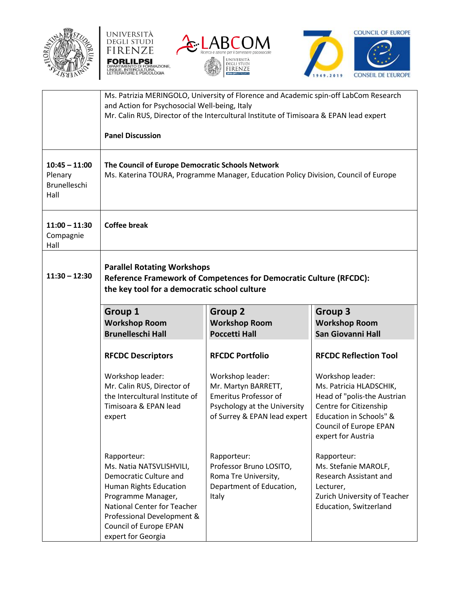







|                                                           | and Action for Psychosocial Well-being, Italy<br><b>Panel Discussion</b>                                                                                                                                                              | Ms. Patrizia MERINGOLO, University of Florence and Academic spin-off LabCom Research<br>Mr. Calin RUS, Director of the Intercultural Institute of Timisoara & EPAN lead expert |                                                                                                                                                                                 |
|-----------------------------------------------------------|---------------------------------------------------------------------------------------------------------------------------------------------------------------------------------------------------------------------------------------|--------------------------------------------------------------------------------------------------------------------------------------------------------------------------------|---------------------------------------------------------------------------------------------------------------------------------------------------------------------------------|
| $10:45 - 11:00$<br>Plenary<br><b>Brunelleschi</b><br>Hall | The Council of Europe Democratic Schools Network                                                                                                                                                                                      | Ms. Katerina TOURA, Programme Manager, Education Policy Division, Council of Europe                                                                                            |                                                                                                                                                                                 |
| $11:00 - 11:30$<br>Compagnie<br>Hall                      | <b>Coffee break</b>                                                                                                                                                                                                                   |                                                                                                                                                                                |                                                                                                                                                                                 |
| $11:30 - 12:30$                                           | <b>Parallel Rotating Workshops</b><br>Reference Framework of Competences for Democratic Culture (RFCDC):<br>the key tool for a democratic school culture                                                                              |                                                                                                                                                                                |                                                                                                                                                                                 |
|                                                           | <b>Group 1</b><br><b>Workshop Room</b><br><b>Brunelleschi Hall</b>                                                                                                                                                                    | <b>Group 2</b><br><b>Workshop Room</b><br><b>Poccetti Hall</b>                                                                                                                 | <b>Group 3</b><br><b>Workshop Room</b><br>San Giovanni Hall                                                                                                                     |
|                                                           | <b>RFCDC Descriptors</b>                                                                                                                                                                                                              | <b>RFCDC Portfolio</b>                                                                                                                                                         | <b>RFCDC Reflection Tool</b>                                                                                                                                                    |
|                                                           | Workshop leader:<br>Mr. Calin RUS, Director of<br>the Intercultural Institute of<br>Timisoara & EPAN lead<br>expert                                                                                                                   | Workshop leader:<br>Mr. Martyn BARRETT,<br><b>Emeritus Professor of</b><br>Psychology at the University<br>of Surrey & EPAN lead expert                                        | Workshop leader:<br>Ms. Patricia HLADSCHIK,<br>Head of "polis-the Austrian<br>Centre for Citizenship<br>Education in Schools" &<br>Council of Europe EPAN<br>expert for Austria |
|                                                           | Rapporteur:<br>Ms. Natia NATSVLISHVILI,<br>Democratic Culture and<br>Human Rights Education<br>Programme Manager,<br><b>National Center for Teacher</b><br>Professional Development &<br>Council of Europe EPAN<br>expert for Georgia | Rapporteur:<br>Professor Bruno LOSITO,<br>Roma Tre University,<br>Department of Education,<br>Italy                                                                            | Rapporteur:<br>Ms. Stefanie MAROLF,<br>Research Assistant and<br>Lecturer,<br>Zurich University of Teacher<br><b>Education, Switzerland</b>                                     |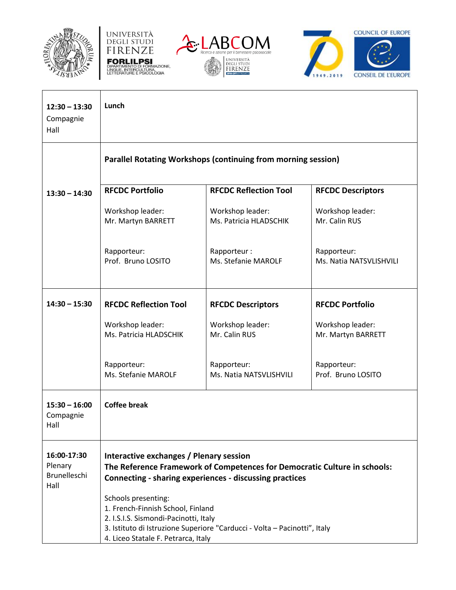







| $12:30 - 13:30$<br>Compagnie<br>Hall           | Lunch                                                                                                             |                                                                                                                                      |                                        |
|------------------------------------------------|-------------------------------------------------------------------------------------------------------------------|--------------------------------------------------------------------------------------------------------------------------------------|----------------------------------------|
|                                                |                                                                                                                   | <b>Parallel Rotating Workshops (continuing from morning session)</b>                                                                 |                                        |
| $13:30 - 14:30$                                | <b>RFCDC Portfolio</b>                                                                                            | <b>RFCDC Reflection Tool</b>                                                                                                         | <b>RFCDC Descriptors</b>               |
|                                                | Workshop leader:<br>Mr. Martyn BARRETT                                                                            | Workshop leader:<br>Ms. Patricia HLADSCHIK                                                                                           | Workshop leader:<br>Mr. Calin RUS      |
|                                                | Rapporteur:<br>Prof. Bruno LOSITO                                                                                 | Rapporteur:<br>Ms. Stefanie MAROLF                                                                                                   | Rapporteur:<br>Ms. Natia NATSVLISHVILI |
| $14:30 - 15:30$                                | <b>RFCDC Reflection Tool</b>                                                                                      | <b>RFCDC Descriptors</b>                                                                                                             | <b>RFCDC Portfolio</b>                 |
|                                                | Workshop leader:<br>Ms. Patricia HLADSCHIK                                                                        | Workshop leader:<br>Mr. Calin RUS                                                                                                    | Workshop leader:<br>Mr. Martyn BARRETT |
|                                                | Rapporteur:<br>Ms. Stefanie MAROLF                                                                                | Rapporteur:<br>Ms. Natia NATSVLISHVILI                                                                                               | Rapporteur:<br>Prof. Bruno LOSITO      |
| $15:30 - 16:00$<br>Compagnie<br>Hall           | <b>Coffee break</b>                                                                                               |                                                                                                                                      |                                        |
| 16:00-17:30<br>Plenary<br>Brunelleschi<br>Hall | Interactive exchanges / Plenary session<br>Schools presenting:                                                    | The Reference Framework of Competences for Democratic Culture in schools:<br>Connecting - sharing experiences - discussing practices |                                        |
|                                                | 1. French-Finnish School, Finland<br>2. I.S.I.S. Sismondi-Pacinotti, Italy<br>4. Liceo Statale F. Petrarca, Italy | 3. Istituto di Istruzione Superiore "Carducci - Volta - Pacinotti", Italy                                                            |                                        |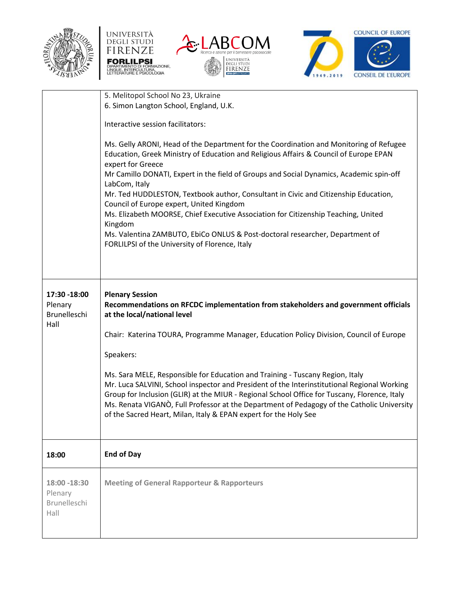







|                                                 | 5. Melitopol School No 23, Ukraine<br>6. Simon Langton School, England, U.K.<br>Interactive session facilitators:<br>Ms. Gelly ARONI, Head of the Department for the Coordination and Monitoring of Refugee<br>Education, Greek Ministry of Education and Religious Affairs & Council of Europe EPAN                                                                                                                                                                                                                                                                                                                                                                                                 |
|-------------------------------------------------|------------------------------------------------------------------------------------------------------------------------------------------------------------------------------------------------------------------------------------------------------------------------------------------------------------------------------------------------------------------------------------------------------------------------------------------------------------------------------------------------------------------------------------------------------------------------------------------------------------------------------------------------------------------------------------------------------|
|                                                 | expert for Greece<br>Mr Camillo DONATI, Expert in the field of Groups and Social Dynamics, Academic spin-off<br>LabCom, Italy<br>Mr. Ted HUDDLESTON, Textbook author, Consultant in Civic and Citizenship Education,<br>Council of Europe expert, United Kingdom<br>Ms. Elizabeth MOORSE, Chief Executive Association for Citizenship Teaching, United<br>Kingdom<br>Ms. Valentina ZAMBUTO, EbiCo ONLUS & Post-doctoral researcher, Department of<br>FORLILPSI of the University of Florence, Italy                                                                                                                                                                                                  |
| 17:30 -18:00<br>Plenary<br>Brunelleschi<br>Hall | <b>Plenary Session</b><br>Recommendations on RFCDC implementation from stakeholders and government officials<br>at the local/national level<br>Chair: Katerina TOURA, Programme Manager, Education Policy Division, Council of Europe<br>Speakers:<br>Ms. Sara MELE, Responsible for Education and Training - Tuscany Region, Italy<br>Mr. Luca SALVINI, School inspector and President of the Interinstitutional Regional Working<br>Group for Inclusion (GLIR) at the MIUR - Regional School Office for Tuscany, Florence, Italy<br>Ms. Renata VIGANO, Full Professor at the Department of Pedagogy of the Catholic University<br>of the Sacred Heart, Milan, Italy & EPAN expert for the Holy See |
| 18:00                                           | <b>End of Day</b>                                                                                                                                                                                                                                                                                                                                                                                                                                                                                                                                                                                                                                                                                    |
| 18:00 -18:30<br>Plenary<br>Brunelleschi<br>Hall | <b>Meeting of General Rapporteur &amp; Rapporteurs</b>                                                                                                                                                                                                                                                                                                                                                                                                                                                                                                                                                                                                                                               |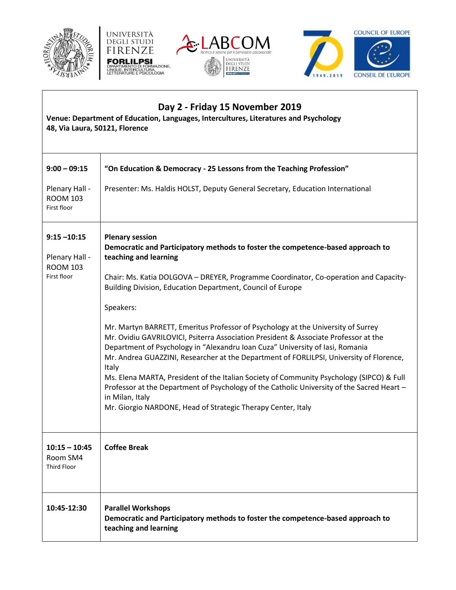







| Day 2 - Friday 15 November 2019<br>Venue: Department of Education, Languages, Intercultures, Literatures and Psychology<br>48, Via Laura, 50121, Florence |                                                                                                                                                                                                                                                                                                                                                                                                                                                                                                                                                                                                                                                                                                                                                                                                                                                                                                                                                    |  |
|-----------------------------------------------------------------------------------------------------------------------------------------------------------|----------------------------------------------------------------------------------------------------------------------------------------------------------------------------------------------------------------------------------------------------------------------------------------------------------------------------------------------------------------------------------------------------------------------------------------------------------------------------------------------------------------------------------------------------------------------------------------------------------------------------------------------------------------------------------------------------------------------------------------------------------------------------------------------------------------------------------------------------------------------------------------------------------------------------------------------------|--|
| $9:00 - 09:15$                                                                                                                                            | "On Education & Democracy - 25 Lessons from the Teaching Profession"                                                                                                                                                                                                                                                                                                                                                                                                                                                                                                                                                                                                                                                                                                                                                                                                                                                                               |  |
| Plenary Hall -<br><b>ROOM 103</b><br>First floor                                                                                                          | Presenter: Ms. Haldis HOLST, Deputy General Secretary, Education International                                                                                                                                                                                                                                                                                                                                                                                                                                                                                                                                                                                                                                                                                                                                                                                                                                                                     |  |
| $9:15 - 10:15$<br>Plenary Hall -<br><b>ROOM 103</b><br>First floor                                                                                        | <b>Plenary session</b><br>Democratic and Participatory methods to foster the competence-based approach to<br>teaching and learning<br>Chair: Ms. Katia DOLGOVA - DREYER, Programme Coordinator, Co-operation and Capacity-<br>Building Division, Education Department, Council of Europe<br>Speakers:<br>Mr. Martyn BARRETT, Emeritus Professor of Psychology at the University of Surrey<br>Mr. Ovidiu GAVRILOVICI, Psiterra Association President & Associate Professor at the<br>Department of Psychology in "Alexandru Ioan Cuza" University of Iasi, Romania<br>Mr. Andrea GUAZZINI, Researcher at the Department of FORLILPSI, University of Florence,<br>Italy<br>Ms. Elena MARTA, President of the Italian Society of Community Psychology (SIPCO) & Full<br>Professor at the Department of Psychology of the Catholic University of the Sacred Heart -<br>in Milan, Italy<br>Mr. Giorgio NARDONE, Head of Strategic Therapy Center, Italy |  |
| $10:15 - 10:45$<br>Room SM4<br><b>Third Floor</b>                                                                                                         | <b>Coffee Break</b>                                                                                                                                                                                                                                                                                                                                                                                                                                                                                                                                                                                                                                                                                                                                                                                                                                                                                                                                |  |
| 10:45-12:30                                                                                                                                               | <b>Parallel Workshops</b><br>Democratic and Participatory methods to foster the competence-based approach to<br>teaching and learning                                                                                                                                                                                                                                                                                                                                                                                                                                                                                                                                                                                                                                                                                                                                                                                                              |  |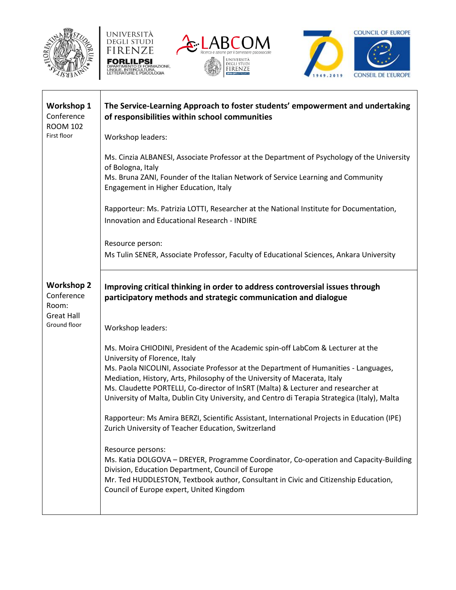







| <b>Workshop 1</b><br>Conference<br><b>ROOM 102</b>            | The Service-Learning Approach to foster students' empowerment and undertaking<br>of responsibilities within school communities                                                                                                                                                                     |
|---------------------------------------------------------------|----------------------------------------------------------------------------------------------------------------------------------------------------------------------------------------------------------------------------------------------------------------------------------------------------|
| First floor                                                   | Workshop leaders:                                                                                                                                                                                                                                                                                  |
|                                                               | Ms. Cinzia ALBANESI, Associate Professor at the Department of Psychology of the University<br>of Bologna, Italy<br>Ms. Bruna ZANI, Founder of the Italian Network of Service Learning and Community                                                                                                |
|                                                               | Engagement in Higher Education, Italy                                                                                                                                                                                                                                                              |
|                                                               | Rapporteur: Ms. Patrizia LOTTI, Researcher at the National Institute for Documentation,<br>Innovation and Educational Research - INDIRE                                                                                                                                                            |
|                                                               | Resource person:                                                                                                                                                                                                                                                                                   |
|                                                               | Ms Tulin SENER, Associate Professor, Faculty of Educational Sciences, Ankara University                                                                                                                                                                                                            |
| <b>Workshop 2</b><br>Conference<br>Room:<br><b>Great Hall</b> | Improving critical thinking in order to address controversial issues through<br>participatory methods and strategic communication and dialogue                                                                                                                                                     |
| Ground floor                                                  | Workshop leaders:                                                                                                                                                                                                                                                                                  |
|                                                               | Ms. Moira CHIODINI, President of the Academic spin-off LabCom & Lecturer at the<br>University of Florence, Italy                                                                                                                                                                                   |
|                                                               | Ms. Paola NICOLINI, Associate Professor at the Department of Humanities - Languages,<br>Mediation, History, Arts, Philosophy of the University of Macerata, Italy                                                                                                                                  |
|                                                               | Ms. Claudette PORTELLI, Co-director of InSRT (Malta) & Lecturer and researcher at<br>University of Malta, Dublin City University, and Centro di Terapia Strategica (Italy), Malta                                                                                                                  |
|                                                               | Rapporteur: Ms Amira BERZI, Scientific Assistant, International Projects in Education (IPE)<br>Zurich University of Teacher Education, Switzerland                                                                                                                                                 |
|                                                               | Resource persons:<br>Ms. Katia DOLGOVA - DREYER, Programme Coordinator, Co-operation and Capacity-Building<br>Division, Education Department, Council of Europe<br>Mr. Ted HUDDLESTON, Textbook author, Consultant in Civic and Citizenship Education,<br>Council of Europe expert, United Kingdom |
|                                                               |                                                                                                                                                                                                                                                                                                    |